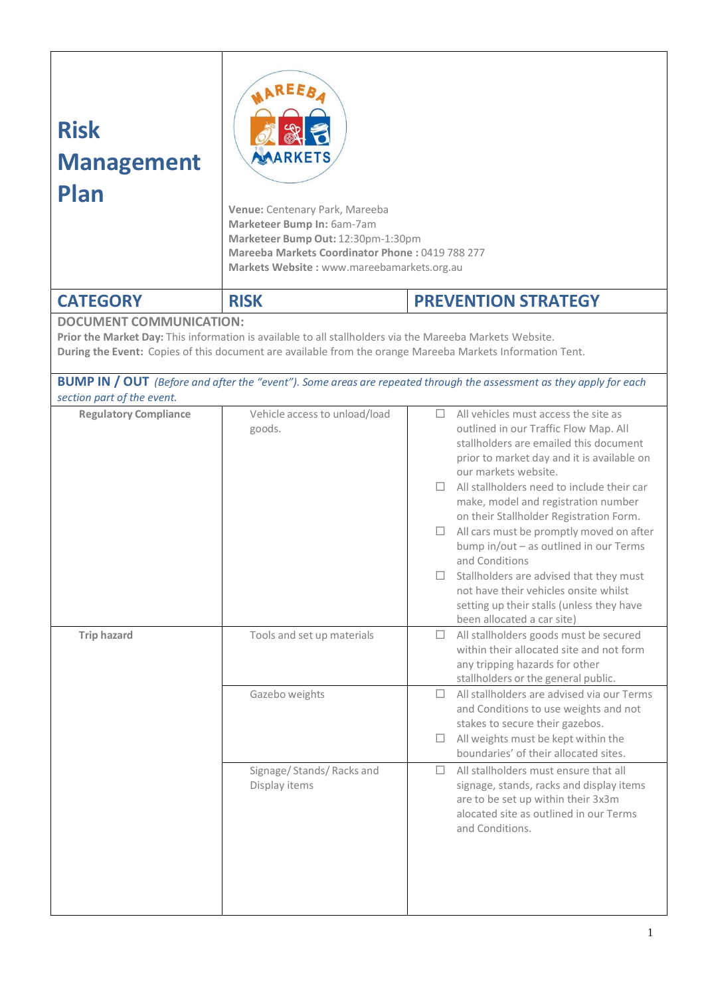| <b>Risk</b><br><b>Management</b><br>Plan | <b>ARKETS</b><br>Venue: Centenary Park, Mareeba<br>Marketeer Bump In: 6am-7am<br>Marketeer Bump Out: 12:30pm-1:30pm<br>Mareeba Markets Coordinator Phone: 0419 788 277<br>Markets Website: www.mareebamarkets.org.au |                                                                                                                                                                                                                                                                                                                                                                                                                                                                                                                                                                                                                             |  |
|------------------------------------------|----------------------------------------------------------------------------------------------------------------------------------------------------------------------------------------------------------------------|-----------------------------------------------------------------------------------------------------------------------------------------------------------------------------------------------------------------------------------------------------------------------------------------------------------------------------------------------------------------------------------------------------------------------------------------------------------------------------------------------------------------------------------------------------------------------------------------------------------------------------|--|
| <b>CATEGORY</b>                          | <b>RISK</b>                                                                                                                                                                                                          | <b>PREVENTION STRATEGY</b>                                                                                                                                                                                                                                                                                                                                                                                                                                                                                                                                                                                                  |  |
| <b>DOCUMENT COMMUNICATION:</b>           | Prior the Market Day: This information is available to all stallholders via the Mareeba Markets Website.                                                                                                             | During the Event: Copies of this document are available from the orange Mareeba Markets Information Tent.<br><b>BUMP IN / OUT</b> (Before and after the "event"). Some areas are repeated through the assessment as they apply for each                                                                                                                                                                                                                                                                                                                                                                                     |  |
| section part of the event.               |                                                                                                                                                                                                                      |                                                                                                                                                                                                                                                                                                                                                                                                                                                                                                                                                                                                                             |  |
| <b>Regulatory Compliance</b>             | Vehicle access to unload/load<br>goods.                                                                                                                                                                              | All vehicles must access the site as<br>П.<br>outlined in our Traffic Flow Map. All<br>stallholders are emailed this document<br>prior to market day and it is available on<br>our markets website.<br>$\Box$ All stallholders need to include their car<br>make, model and registration number<br>on their Stallholder Registration Form.<br>All cars must be promptly moved on after<br>$\Box$<br>bump in/out - as outlined in our Terms<br>and Conditions<br>Stallholders are advised that they must<br>not have their vehicles onsite whilst<br>setting up their stalls (unless they have<br>been allocated a car site) |  |
| <b>Trip hazard</b>                       | Tools and set up materials<br>Gazebo weights<br>Signage/ Stands/ Racks and<br>Display items                                                                                                                          | All stallholders goods must be secured<br>⊔<br>within their allocated site and not form<br>any tripping hazards for other<br>stallholders or the general public.<br>All stallholders are advised via our Terms<br>П<br>and Conditions to use weights and not<br>stakes to secure their gazebos.<br>All weights must be kept within the<br>⊔<br>boundaries' of their allocated sites.<br>All stallholders must ensure that all<br>П<br>signage, stands, racks and display items<br>are to be set up within their 3x3m<br>alocated site as outlined in our Terms<br>and Conditions.                                           |  |
|                                          |                                                                                                                                                                                                                      | 1                                                                                                                                                                                                                                                                                                                                                                                                                                                                                                                                                                                                                           |  |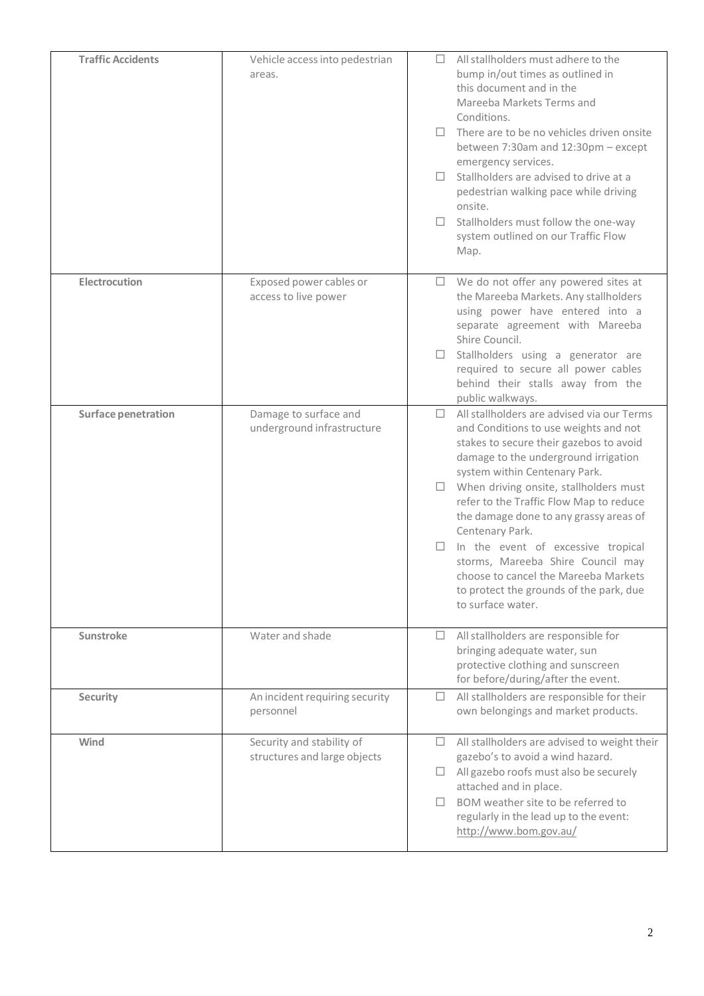| <b>Traffic Accidents</b> | Vehicle access into pedestrian<br>areas.                  | All stallholders must adhere to the<br>П<br>bump in/out times as outlined in<br>this document and in the<br>Mareeba Markets Terms and<br>Conditions.<br>There are to be no vehicles driven onsite<br>between 7:30am and 12:30pm - except<br>emergency services.<br>Stallholders are advised to drive at a<br>pedestrian walking pace while driving<br>onsite.<br>Stallholders must follow the one-way<br>П<br>system outlined on our Traffic Flow<br>Map.                                                                                         |
|--------------------------|-----------------------------------------------------------|---------------------------------------------------------------------------------------------------------------------------------------------------------------------------------------------------------------------------------------------------------------------------------------------------------------------------------------------------------------------------------------------------------------------------------------------------------------------------------------------------------------------------------------------------|
| Electrocution            | Exposed power cables or<br>access to live power           | We do not offer any powered sites at<br>$\Box$<br>the Mareeba Markets. Any stallholders<br>using power have entered into a<br>separate agreement with Mareeba<br>Shire Council.<br>Stallholders using a generator are<br>required to secure all power cables<br>behind their stalls away from the<br>public walkways.                                                                                                                                                                                                                             |
| Surface penetration      | Damage to surface and<br>underground infrastructure       | All stallholders are advised via our Terms<br>П<br>and Conditions to use weights and not<br>stakes to secure their gazebos to avoid<br>damage to the underground irrigation<br>system within Centenary Park.<br>When driving onsite, stallholders must<br>refer to the Traffic Flow Map to reduce<br>the damage done to any grassy areas of<br>Centenary Park.<br>In the event of excessive tropical<br>storms, Mareeba Shire Council may<br>choose to cancel the Mareeba Markets<br>to protect the grounds of the park, due<br>to surface water. |
| Sunstroke                | Water and shade                                           | All stallholders are responsible for<br>O.<br>bringing adequate water, sun<br>protective clothing and sunscreen<br>for before/during/after the event.                                                                                                                                                                                                                                                                                                                                                                                             |
| Security                 | An incident requiring security<br>personnel               | All stallholders are responsible for their<br>□<br>own belongings and market products.                                                                                                                                                                                                                                                                                                                                                                                                                                                            |
| Wind                     | Security and stability of<br>structures and large objects | All stallholders are advised to weight their<br>П.<br>gazebo's to avoid a wind hazard.<br>All gazebo roofs must also be securely<br>attached and in place.<br>BOM weather site to be referred to<br>regularly in the lead up to the event:<br>http://www.bom.gov.au/                                                                                                                                                                                                                                                                              |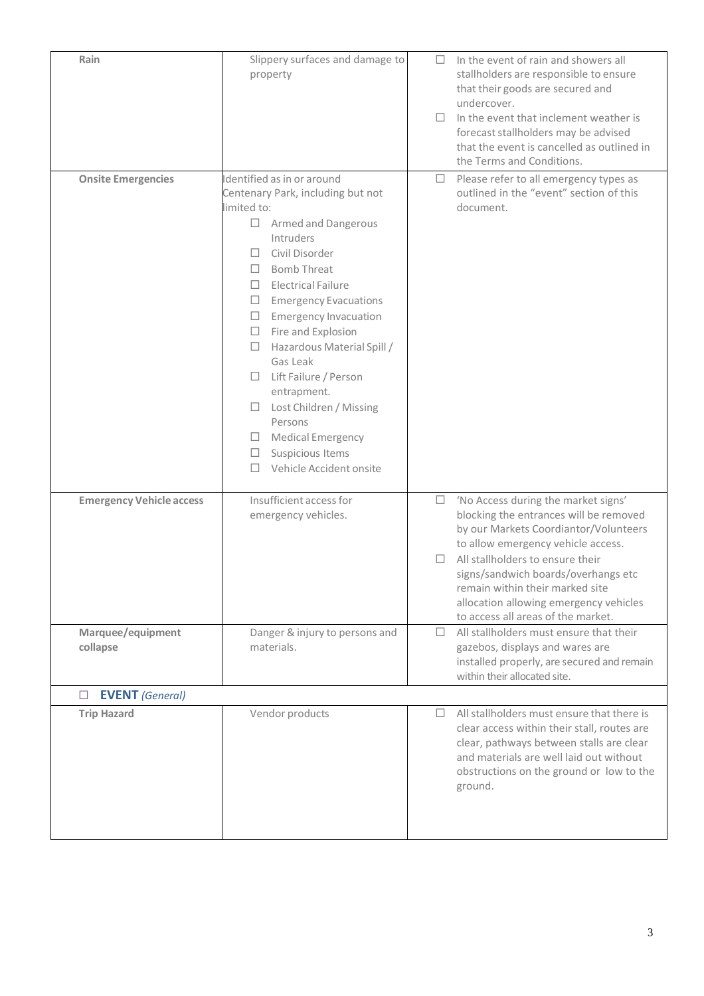| Rain                            | Slippery surfaces and damage to<br>property                                                                                                                                                                                                                                                                                                                                                                                                                                                                                                                                           | П      | In the event of rain and showers all<br>stallholders are responsible to ensure<br>that their goods are secured and<br>undercover.<br>In the event that inclement weather is<br>forecast stallholders may be advised<br>that the event is cancelled as outlined in<br>the Terms and Conditions.                                                             |
|---------------------------------|---------------------------------------------------------------------------------------------------------------------------------------------------------------------------------------------------------------------------------------------------------------------------------------------------------------------------------------------------------------------------------------------------------------------------------------------------------------------------------------------------------------------------------------------------------------------------------------|--------|------------------------------------------------------------------------------------------------------------------------------------------------------------------------------------------------------------------------------------------------------------------------------------------------------------------------------------------------------------|
| <b>Onsite Emergencies</b>       | Identified as in or around<br>Centenary Park, including but not<br>limited to:<br>Armed and Dangerous<br>$\Box$<br>Intruders<br>Civil Disorder<br>П.<br><b>Bomb Threat</b><br>П<br><b>Electrical Failure</b><br>$\Box$<br><b>Emergency Evacuations</b><br>$\Box$<br><b>Emergency Invacuation</b><br>$\Box$<br>$\Box$<br>Fire and Explosion<br>Hazardous Material Spill /<br>$\Box$<br>Gas Leak<br>Lift Failure / Person<br>$\Box$<br>entrapment.<br>Lost Children / Missing<br>$\Box$<br>Persons<br>Medical Emergency<br>⊔ ⊢<br>Suspicious Items<br>$\Box$<br>Vehicle Accident onsite | □      | Please refer to all emergency types as<br>outlined in the "event" section of this<br>document.                                                                                                                                                                                                                                                             |
| <b>Emergency Vehicle access</b> | Insufficient access for<br>emergency vehicles.                                                                                                                                                                                                                                                                                                                                                                                                                                                                                                                                        | $\Box$ | 'No Access during the market signs'<br>blocking the entrances will be removed<br>by our Markets Coordiantor/Volunteers<br>to allow emergency vehicle access.<br>All stallholders to ensure their<br>signs/sandwich boards/overhangs etc<br>remain within their marked site<br>allocation allowing emergency vehicles<br>to access all areas of the market. |
| Marquee/equipment<br>collapse   | Danger & injury to persons and<br>materials.                                                                                                                                                                                                                                                                                                                                                                                                                                                                                                                                          | П      | All stallholders must ensure that their<br>gazebos, displays and wares are<br>installed properly, are secured and remain<br>within their allocated site.                                                                                                                                                                                                   |
| <b>EVENT</b> (General)<br>ப     |                                                                                                                                                                                                                                                                                                                                                                                                                                                                                                                                                                                       |        |                                                                                                                                                                                                                                                                                                                                                            |
| <b>Trip Hazard</b>              | Vendor products                                                                                                                                                                                                                                                                                                                                                                                                                                                                                                                                                                       | П      | All stallholders must ensure that there is<br>clear access within their stall, routes are<br>clear, pathways between stalls are clear<br>and materials are well laid out without<br>obstructions on the ground or low to the<br>ground.                                                                                                                    |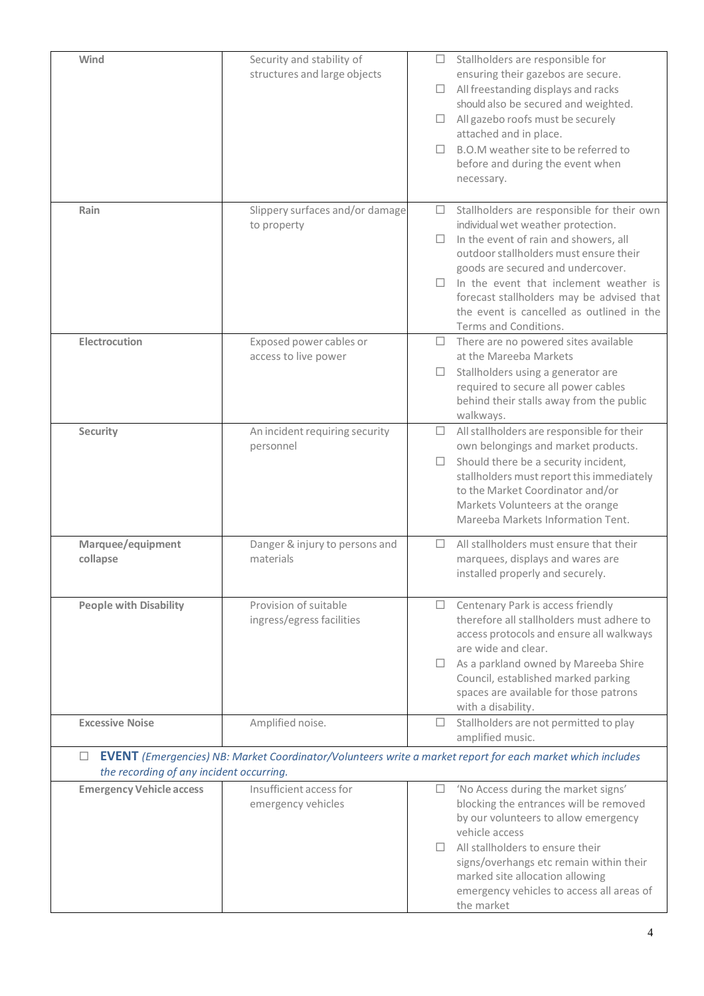| Wind                                     | Security and stability of                       | □      | Stallholders are responsible for                                                                                  |
|------------------------------------------|-------------------------------------------------|--------|-------------------------------------------------------------------------------------------------------------------|
|                                          | structures and large objects                    |        | ensuring their gazebos are secure.<br>All freestanding displays and racks                                         |
|                                          |                                                 |        | should also be secured and weighted.                                                                              |
|                                          |                                                 | ⊔      | All gazebo roofs must be securely                                                                                 |
|                                          |                                                 |        | attached and in place.                                                                                            |
|                                          |                                                 | п      | B.O.M weather site to be referred to                                                                              |
|                                          |                                                 |        | before and during the event when                                                                                  |
|                                          |                                                 |        | necessary.                                                                                                        |
| Rain                                     | Slippery surfaces and/or damage                 | $\Box$ | Stallholders are responsible for their own                                                                        |
|                                          | to property                                     |        | individual wet weather protection.                                                                                |
|                                          |                                                 |        | In the event of rain and showers, all                                                                             |
|                                          |                                                 |        | outdoor stallholders must ensure their<br>goods are secured and undercover.                                       |
|                                          |                                                 |        | In the event that inclement weather is                                                                            |
|                                          |                                                 |        | forecast stallholders may be advised that                                                                         |
|                                          |                                                 |        | the event is cancelled as outlined in the                                                                         |
|                                          |                                                 |        | Terms and Conditions.                                                                                             |
| Electrocution                            | Exposed power cables or<br>access to live power | $\Box$ | There are no powered sites available<br>at the Mareeba Markets                                                    |
|                                          |                                                 |        | Stallholders using a generator are                                                                                |
|                                          |                                                 |        | required to secure all power cables                                                                               |
|                                          |                                                 |        | behind their stalls away from the public                                                                          |
|                                          |                                                 |        | walkways.                                                                                                         |
| Security                                 | An incident requiring security                  | ⊔      | All stallholders are responsible for their                                                                        |
|                                          | personnel                                       | ⊔      | own belongings and market products.<br>Should there be a security incident,                                       |
|                                          |                                                 |        | stallholders must report this immediately                                                                         |
|                                          |                                                 |        | to the Market Coordinator and/or                                                                                  |
|                                          |                                                 |        | Markets Volunteers at the orange                                                                                  |
|                                          |                                                 |        | Mareeba Markets Information Tent.                                                                                 |
| Marquee/equipment                        | Danger & injury to persons and                  | п      | All stallholders must ensure that their                                                                           |
| collapse                                 | materials                                       |        | marquees, displays and wares are                                                                                  |
|                                          |                                                 |        | installed properly and securely.                                                                                  |
| <b>People with Disability</b>            | Provision of suitable                           | $\Box$ | Centenary Park is access friendly                                                                                 |
|                                          | ingress/egress facilities                       |        | therefore all stallholders must adhere to                                                                         |
|                                          |                                                 |        | access protocols and ensure all walkways<br>are wide and clear.                                                   |
|                                          |                                                 | $\Box$ | As a parkland owned by Mareeba Shire                                                                              |
|                                          |                                                 |        | Council, established marked parking                                                                               |
|                                          |                                                 |        | spaces are available for those patrons                                                                            |
|                                          |                                                 |        | with a disability.                                                                                                |
| <b>Excessive Noise</b>                   | Amplified noise.                                | $\Box$ | Stallholders are not permitted to play<br>amplified music.                                                        |
| $\Box$                                   |                                                 |        | <b>EVENT</b> (Emergencies) NB: Market Coordinator/Volunteers write a market report for each market which includes |
| the recording of any incident occurring. |                                                 |        |                                                                                                                   |
| <b>Emergency Vehicle access</b>          | Insufficient access for                         | $\Box$ | 'No Access during the market signs'                                                                               |
|                                          | emergency vehicles                              |        | blocking the entrances will be removed                                                                            |
|                                          |                                                 |        | by our volunteers to allow emergency                                                                              |
|                                          |                                                 |        | vehicle access<br>All stallholders to ensure their                                                                |
|                                          |                                                 |        | signs/overhangs etc remain within their                                                                           |
|                                          |                                                 |        | marked site allocation allowing                                                                                   |
|                                          |                                                 |        | emergency vehicles to access all areas of                                                                         |
|                                          |                                                 |        | the market                                                                                                        |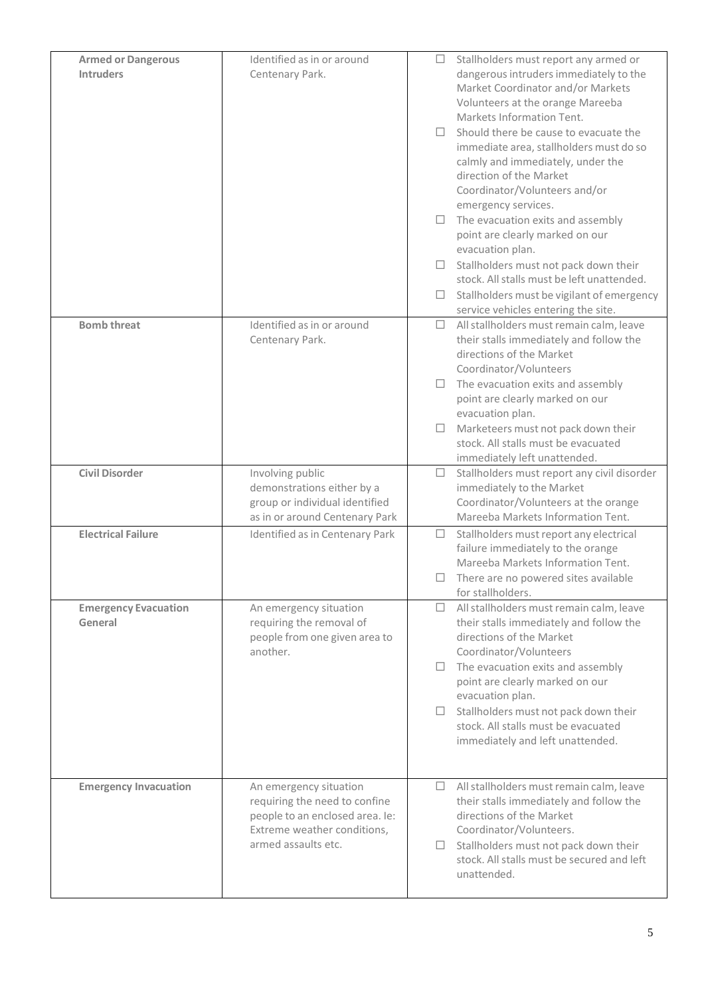| <b>Armed or Dangerous</b><br><b>Intruders</b> | Identified as in or around<br>Centenary Park.                                                                                                    | П.            | $\Box$ Stallholders must report any armed or<br>dangerous intruders immediately to the<br>Market Coordinator and/or Markets<br>Volunteers at the orange Mareeba<br>Markets Information Tent.<br>Should there be cause to evacuate the<br>immediate area, stallholders must do so<br>calmly and immediately, under the<br>direction of the Market<br>Coordinator/Volunteers and/or<br>emergency services. |
|-----------------------------------------------|--------------------------------------------------------------------------------------------------------------------------------------------------|---------------|----------------------------------------------------------------------------------------------------------------------------------------------------------------------------------------------------------------------------------------------------------------------------------------------------------------------------------------------------------------------------------------------------------|
|                                               |                                                                                                                                                  | □.            | $\Box$ The evacuation exits and assembly<br>point are clearly marked on our<br>evacuation plan.<br>Stallholders must not pack down their<br>stock. All stalls must be left unattended.<br>Stallholders must be vigilant of emergency<br>service vehicles entering the site.                                                                                                                              |
| <b>Bomb threat</b>                            | Identified as in or around<br>Centenary Park.                                                                                                    | O.<br>$\Box$  | All stallholders must remain calm, leave<br>their stalls immediately and follow the<br>directions of the Market<br>Coordinator/Volunteers<br>$\Box$ The evacuation exits and assembly<br>point are clearly marked on our<br>evacuation plan.<br>Marketeers must not pack down their<br>stock. All stalls must be evacuated<br>immediately left unattended.                                               |
| <b>Civil Disorder</b>                         | Involving public<br>demonstrations either by a<br>group or individual identified<br>as in or around Centenary Park                               |               | $\Box$ Stallholders must report any civil disorder<br>immediately to the Market<br>Coordinator/Volunteers at the orange<br>Mareeba Markets Information Tent.                                                                                                                                                                                                                                             |
| <b>Electrical Failure</b>                     | Identified as in Centenary Park                                                                                                                  | $\Box$        | Stallholders must report any electrical<br>failure immediately to the orange<br>Mareeba Markets Information Tent.<br>$\Box$ There are no powered sites available<br>for stallholders.                                                                                                                                                                                                                    |
| <b>Emergency Evacuation</b><br>General        | An emergency situation<br>requiring the removal of<br>people from one given area to<br>another.                                                  | $\Box$        | $\Box$ All stallholders must remain calm, leave<br>their stalls immediately and follow the<br>directions of the Market<br>Coordinator/Volunteers<br>$\Box$ The evacuation exits and assembly<br>point are clearly marked on our<br>evacuation plan.<br>Stallholders must not pack down their<br>stock. All stalls must be evacuated<br>immediately and left unattended.                                  |
| <b>Emergency Invacuation</b>                  | An emergency situation<br>requiring the need to confine<br>people to an enclosed area. Ie:<br>Extreme weather conditions,<br>armed assaults etc. | $\Box$<br>⊔ ⊢ | All stallholders must remain calm, leave<br>their stalls immediately and follow the<br>directions of the Market<br>Coordinator/Volunteers.<br>Stallholders must not pack down their<br>stock. All stalls must be secured and left<br>unattended.                                                                                                                                                         |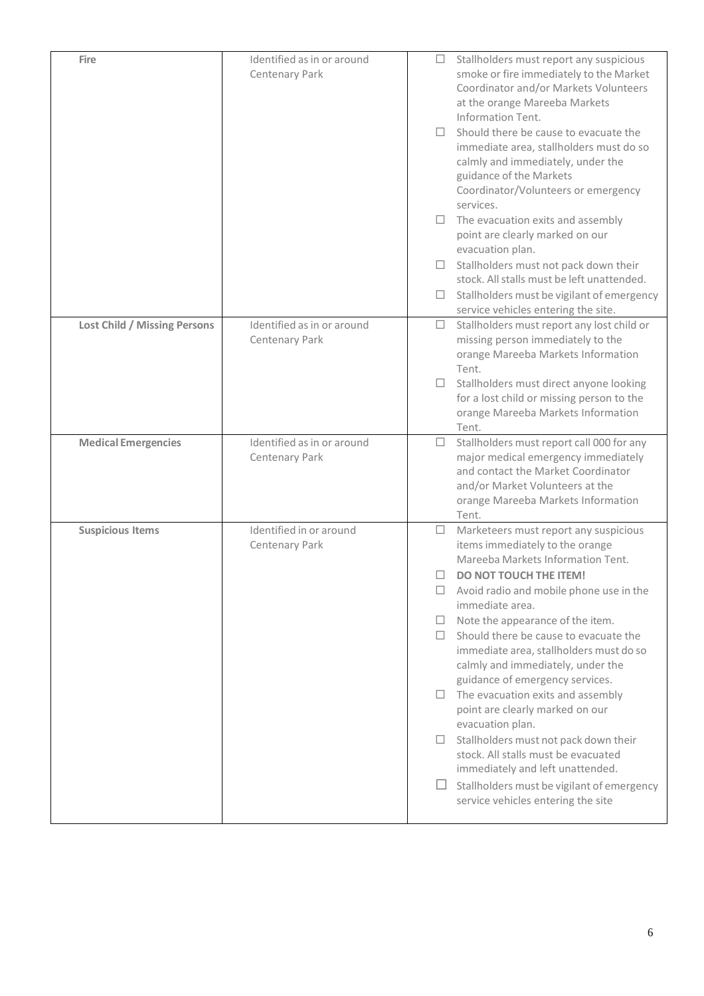| Fire                                | Identified as in or around<br>Centenary Park | Stallholders must report any suspicious<br>$\Box$<br>smoke or fire immediately to the Market<br>Coordinator and/or Markets Volunteers<br>at the orange Mareeba Markets<br>Information Tent.<br>Should there be cause to evacuate the<br>immediate area, stallholders must do so<br>calmly and immediately, under the<br>guidance of the Markets<br>Coordinator/Volunteers or emergency<br>services.<br>$\Box$ The evacuation exits and assembly<br>point are clearly marked on our<br>evacuation plan.<br>Stallholders must not pack down their<br>stock. All stalls must be left unattended.<br>Stallholders must be vigilant of emergency<br>u.<br>service vehicles entering the site.                                                                       |
|-------------------------------------|----------------------------------------------|----------------------------------------------------------------------------------------------------------------------------------------------------------------------------------------------------------------------------------------------------------------------------------------------------------------------------------------------------------------------------------------------------------------------------------------------------------------------------------------------------------------------------------------------------------------------------------------------------------------------------------------------------------------------------------------------------------------------------------------------------------------|
| <b>Lost Child / Missing Persons</b> | Identified as in or around<br>Centenary Park | $\Box$<br>Stallholders must report any lost child or<br>missing person immediately to the<br>orange Mareeba Markets Information<br>Tent.<br>Stallholders must direct anyone looking<br>for a lost child or missing person to the<br>orange Mareeba Markets Information<br>Tent.                                                                                                                                                                                                                                                                                                                                                                                                                                                                                |
| <b>Medical Emergencies</b>          | Identified as in or around<br>Centenary Park | Stallholders must report call 000 for any<br>$\Box$<br>major medical emergency immediately<br>and contact the Market Coordinator<br>and/or Market Volunteers at the<br>orange Mareeba Markets Information<br>Tent.                                                                                                                                                                                                                                                                                                                                                                                                                                                                                                                                             |
| <b>Suspicious Items</b>             | Identified in or around<br>Centenary Park    | Marketeers must report any suspicious<br>$\Box$<br>items immediately to the orange<br>Mareeba Markets Information Tent.<br>DO NOT TOUCH THE ITEM!<br>ш<br>Avoid radio and mobile phone use in the<br>immediate area.<br>Note the appearance of the item.<br>⊔<br>Should there be cause to evacuate the<br>$\Box$<br>immediate area, stallholders must do so<br>calmly and immediately, under the<br>guidance of emergency services.<br>The evacuation exits and assembly<br>U.<br>point are clearly marked on our<br>evacuation plan.<br>Stallholders must not pack down their<br>$\Box$<br>stock. All stalls must be evacuated<br>immediately and left unattended.<br>$\Box$ Stallholders must be vigilant of emergency<br>service vehicles entering the site |